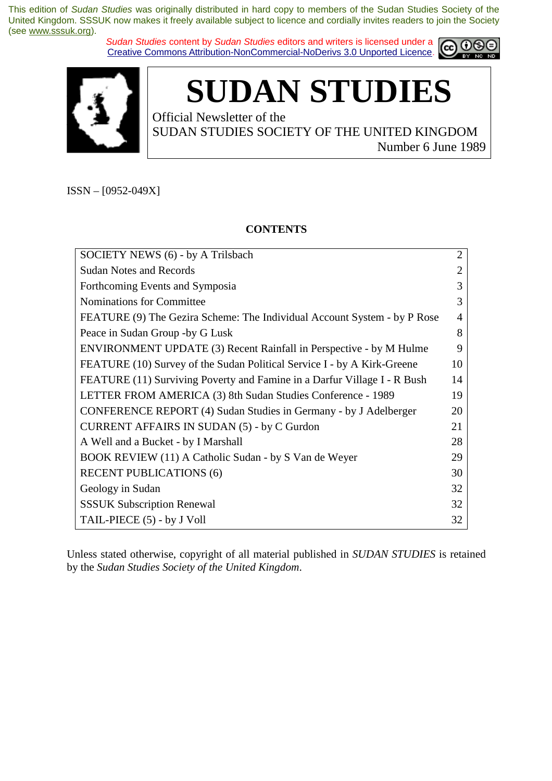*Sudan Studies* content by *Sudan Studies* editors and writers is licensed under a Creative Commons Attribution-NonCommercial-NoDerivs 3.0 Unported Licence.





**SUDAN STUDIES** 

Official Newsletter of the SUDAN STUDIES SOCIETY OF THE UNITED KINGDOM Number 6 June 1989

ISSN – [0952-049X]

### **CONTENTS**

| SOCIETY NEWS (6) - by A Trilsbach                                         | $\overline{2}$ |
|---------------------------------------------------------------------------|----------------|
| <b>Sudan Notes and Records</b>                                            | $\overline{2}$ |
| Forthcoming Events and Symposia                                           | 3              |
| Nominations for Committee                                                 | 3              |
| FEATURE (9) The Gezira Scheme: The Individual Account System - by P Rose  | $\overline{4}$ |
| Peace in Sudan Group -by G Lusk                                           | 8              |
| <b>ENVIRONMENT UPDATE (3) Recent Rainfall in Perspective - by M Hulme</b> | 9              |
| FEATURE (10) Survey of the Sudan Political Service I - by A Kirk-Greene   | 10             |
| FEATURE (11) Surviving Poverty and Famine in a Darfur Village I - R Bush  | 14             |
| LETTER FROM AMERICA (3) 8th Sudan Studies Conference - 1989               | 19             |
| CONFERENCE REPORT (4) Sudan Studies in Germany - by J Adelberger          | 20             |
| <b>CURRENT AFFAIRS IN SUDAN (5) - by C Gurdon</b>                         | 21             |
| A Well and a Bucket - by I Marshall                                       | 28             |
| BOOK REVIEW (11) A Catholic Sudan - by S Van de Weyer                     | 29             |
| <b>RECENT PUBLICATIONS (6)</b>                                            | 30             |
| Geology in Sudan                                                          | 32             |
| <b>SSSUK Subscription Renewal</b>                                         | 32             |
| TAIL-PIECE (5) - by J Voll                                                | 32             |

Unless stated otherwise, copyright of all material published in *SUDAN STUDIES* is retained by the *Sudan Studies Society of the United Kingdom*.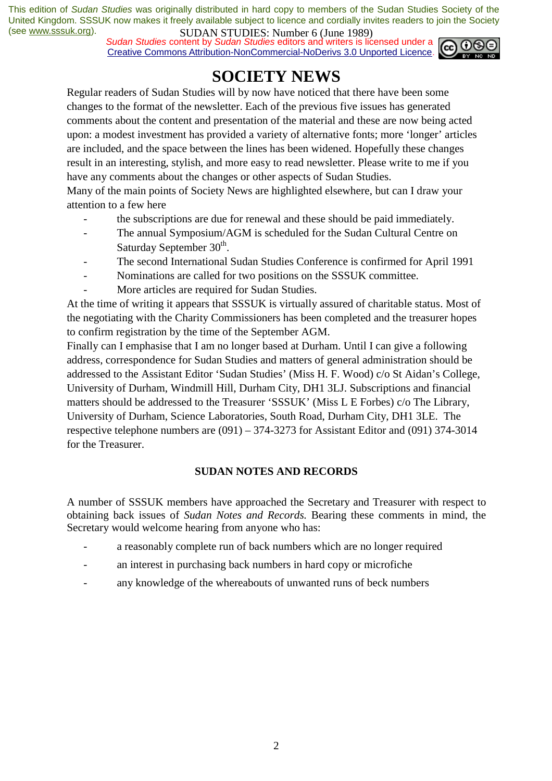*Sudan Studies* content by *Sudan Studies* editors and writers is licensed under a Creative Commons Attribution-NonCommercial-NoDerivs 3.0 Unported Licence.



### **SOCIETY NEWS**

Regular readers of Sudan Studies will by now have noticed that there have been some changes to the format of the newsletter. Each of the previous five issues has generated comments about the content and presentation of the material and these are now being acted upon: a modest investment has provided a variety of alternative fonts; more 'longer' articles are included, and the space between the lines has been widened. Hopefully these changes result in an interesting, stylish, and more easy to read newsletter. Please write to me if you have any comments about the changes or other aspects of Sudan Studies.

Many of the main points of Society News are highlighted elsewhere, but can I draw your attention to a few here

- the subscriptions are due for renewal and these should be paid immediately.
- The annual Symposium/AGM is scheduled for the Sudan Cultural Centre on Saturday September  $30<sup>th</sup>$ .
- The second International Sudan Studies Conference is confirmed for April 1991
- Nominations are called for two positions on the SSSUK committee.
- More articles are required for Sudan Studies.

At the time of writing it appears that SSSUK is virtually assured of charitable status. Most of the negotiating with the Charity Commissioners has been completed and the treasurer hopes to confirm registration by the time of the September AGM.

Finally can I emphasise that I am no longer based at Durham. Until I can give a following address, correspondence for Sudan Studies and matters of general administration should be addressed to the Assistant Editor 'Sudan Studies' (Miss H. F. Wood) c/o St Aidan's College, University of Durham, Windmill Hill, Durham City, DH1 3LJ. Subscriptions and financial matters should be addressed to the Treasurer 'SSSUK' (Miss L E Forbes) c/o The Library, University of Durham, Science Laboratories, South Road, Durham City, DH1 3LE. The respective telephone numbers are (091) – 374-3273 for Assistant Editor and (091) 374-3014 for the Treasurer.

### **SUDAN NOTES AND RECORDS**

A number of SSSUK members have approached the Secretary and Treasurer with respect to obtaining back issues of *Sudan Notes and Records.* Bearing these comments in mind, the Secretary would welcome hearing from anyone who has:

- a reasonably complete run of back numbers which are no longer required
- an interest in purchasing back numbers in hard copy or microfiche
- any knowledge of the whereabouts of unwanted runs of beck numbers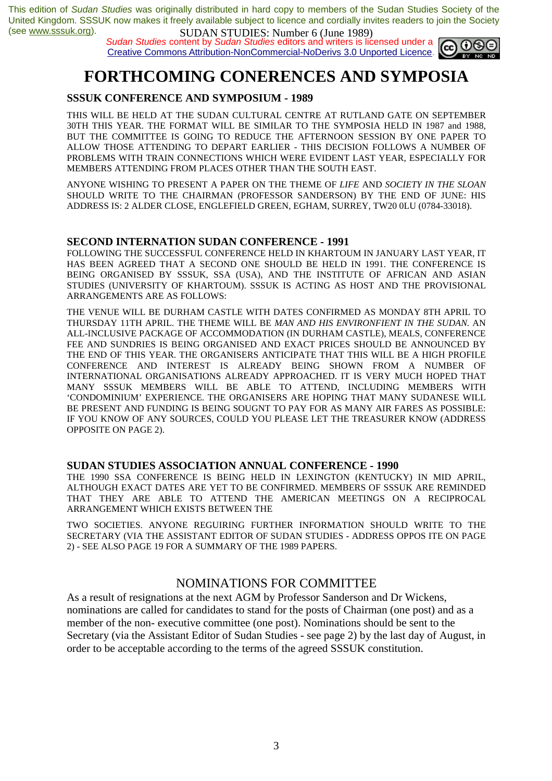*Sudan Studies* content by *Sudan Studies* editors and writers is licensed under a Creative Commons Attribution-NonCommercial-NoDerivs 3.0 Unported Licence.



# **FORTHCOMING CONERENCES AND SYMPOSIA**

### **SSSUK CONFERENCE AND SYMPOSIUM - 1989**

THIS WILL BE HELD AT THE SUDAN CULTURAL CENTRE AT RUTLAND GATE ON SEPTEMBER 30TH THIS YEAR. THE FORMAT WILL BE SIMILAR TO THE SYMPOSIA HELD IN 1987 and 1988, BUT THE COMMITTEE IS GOING TO REDUCE THE AFTERNOON SESSION BY ONE PAPER TO ALLOW THOSE ATTENDING TO DEPART EARLIER - THIS DECISION FOLLOWS A NUMBER OF PROBLEMS WITH TRAIN CONNECTIONS WHICH WERE EVIDENT LAST YEAR, ESPECIALLY FOR MEMBERS ATTENDING FROM PLACES OTHER THAN THE SOUTH EAST.

ANYONE WISHING TO PRESENT A PAPER ON THE THEME OF *LIFE* AND *SOCIETY IN THE SLOAN*  SHOULD WRITE TO THE CHAIRMAN (PROFESSOR SANDERSON) BY THE END OF JUNE: HIS ADDRESS IS: 2 ALDER CLOSE, ENGLEFIELD GREEN, EGHAM, SURREY, TW20 0LU (0784-33018).

#### **SECOND INTERNATION SUDAN CONFERENCE - 1991**

FOLLOWING THE SUCCESSFUL CONFERENCE HELD IN KHARTOUM IN JANUARY LAST YEAR, IT HAS BEEN AGREED THAT A SECOND ONE SHOULD BE HELD IN 1991. THE CONFERENCE IS BEING ORGANISED BY SSSUK, SSA (USA), AND THE INSTITUTE OF AFRICAN AND ASIAN STUDIES (UNIVERSITY OF KHARTOUM). SSSUK IS ACTING AS HOST AND THE PROVISIONAL ARRANGEMENTS ARE AS FOLLOWS:

THE VENUE WILL BE DURHAM CASTLE WITH DATES CONFIRMED AS MONDAY 8TH APRIL TO THURSDAY 11TH APRIL. THE THEME WILL BE *MAN AND HIS ENVIRONFIENT IN THE SUDAN.* AN ALL-INCLUSIVE PACKAGE OF ACCOMMODATION (IN DURHAM CASTLE), MEALS, CONFERENCE FEE AND SUNDRIES IS BEING ORGANISED AND EXACT PRICES SHOULD BE ANNOUNCED BY THE END OF THIS YEAR. THE ORGANISERS ANTICIPATE THAT THIS WILL BE A HIGH PROFILE CONFERENCE AND INTEREST IS ALREADY BEING SHOWN FROM A NUMBER OF INTERNATIONAL ORGANISATIONS ALREADY APPROACHED. IT IS VERY MUCH HOPED THAT MANY SSSUK MEMBERS WILL BE ABLE TO ATTEND, INCLUDING MEMBERS WITH 'CONDOMINIUM' EXPERIENCE. THE ORGANISERS ARE HOPING THAT MANY SUDANESE WILL BE PRESENT AND FUNDING IS BEING SOUGNT TO PAY FOR AS MANY AIR FARES AS POSSIBLE: IF YOU KNOW OF ANY SOURCES, COULD YOU PLEASE LET THE TREASURER KNOW (ADDRESS OPPOSITE ON PAGE 2).

#### **SUDAN STUDIES ASSOCIATION ANNUAL CONFERENCE - 1990**

THE 1990 SSA CONFERENCE IS BEING HELD IN LEXINGTON (KENTUCKY) IN MID APRIL, ALTHOUGH EXACT DATES ARE YET TO BE CONFIRMED. MEMBERS OF SSSUK ARE REMINDED THAT THEY ARE ABLE TO ATTEND THE AMERICAN MEETINGS ON A RECIPROCAL ARRANGEMENT WHICH EXISTS BETWEEN THE

TWO SOCIETIES. ANYONE REGUIRING FURTHER INFORMATION SHOULD WRITE TO THE SECRETARY (VIA THE ASSISTANT EDITOR OF SUDAN STUDIES - ADDRESS OPPOS ITE ON PAGE 2) - SEE ALSO PAGE 19 FOR A SUMMARY OF THE 1989 PAPERS.

### NOMINATIONS FOR COMMITTEE

As a result of resignations at the next AGM by Professor Sanderson and Dr Wickens, nominations are called for candidates to stand for the posts of Chairman (one post) and as a member of the non- executive committee (one post). Nominations should be sent to the Secretary (via the Assistant Editor of Sudan Studies - see page 2) by the last day of August, in order to be acceptable according to the terms of the agreed SSSUK constitution.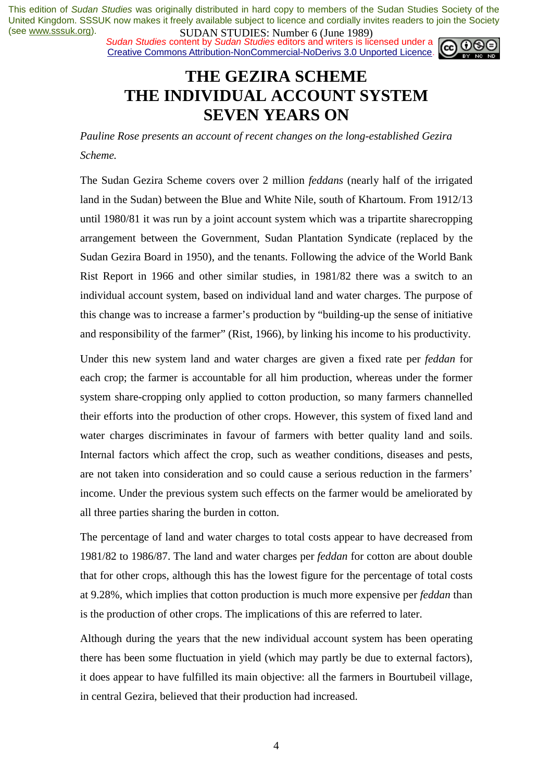*Sudan Studies* content by *Sudan Studies* editors and writers is licensed under a Creative Commons Attribution-NonCommercial-NoDerivs 3.0 Unported Licence.



### **THE GEZIRA SCHEME THE INDIVIDUAL ACCOUNT SYSTEM SEVEN YEARS ON**

*Pauline Rose presents an account of recent changes on the long-established Gezira Scheme.* 

The Sudan Gezira Scheme covers over 2 million *feddans* (nearly half of the irrigated land in the Sudan) between the Blue and White Nile, south of Khartoum. From 1912/13 until 1980/81 it was run by a joint account system which was a tripartite sharecropping arrangement between the Government, Sudan Plantation Syndicate (replaced by the Sudan Gezira Board in 1950), and the tenants. Following the advice of the World Bank Rist Report in 1966 and other similar studies, in 1981/82 there was a switch to an individual account system, based on individual land and water charges. The purpose of this change was to increase a farmer's production by "building-up the sense of initiative and responsibility of the farmer" (Rist, 1966), by linking his income to his productivity.

Under this new system land and water charges are given a fixed rate per *feddan* for each crop; the farmer is accountable for all him production, whereas under the former system share-cropping only applied to cotton production, so many farmers channelled their efforts into the production of other crops. However, this system of fixed land and water charges discriminates in favour of farmers with better quality land and soils. Internal factors which affect the crop, such as weather conditions, diseases and pests, are not taken into consideration and so could cause a serious reduction in the farmers' income. Under the previous system such effects on the farmer would be ameliorated by all three parties sharing the burden in cotton.

The percentage of land and water charges to total costs appear to have decreased from 1981/82 to 1986/87. The land and water charges per *feddan* for cotton are about double that for other crops, although this has the lowest figure for the percentage of total costs at 9.28%, which implies that cotton production is much more expensive per *feddan* than is the production of other crops. The implications of this are referred to later.

Although during the years that the new individual account system has been operating there has been some fluctuation in yield (which may partly be due to external factors), it does appear to have fulfilled its main objective: all the farmers in Bourtubeil village, in central Gezira, believed that their production had increased.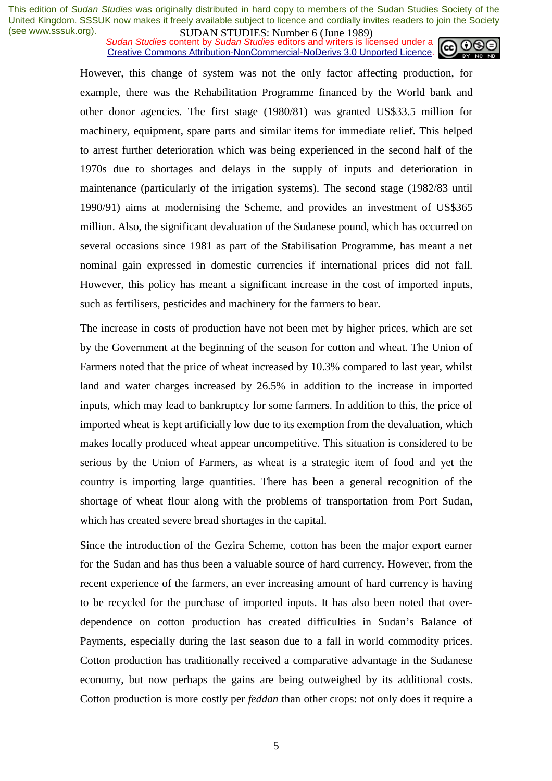**SUDAN STUDES.** NUTTURE UP the 1707 Sudan Studies content by *Sudan Studies* editors and writers is licensed under a Creative Commons Attribution-NonCommercial-NoDerivs 3.0 Unported Licence.



However, this change of system was not the only factor affecting production, for example, there was the Rehabilitation Programme financed by the World bank and other donor agencies. The first stage (1980/81) was granted US\$33.5 million for machinery, equipment, spare parts and similar items for immediate relief. This helped to arrest further deterioration which was being experienced in the second half of the 1970s due to shortages and delays in the supply of inputs and deterioration in maintenance (particularly of the irrigation systems). The second stage (1982/83 until 1990/91) aims at modernising the Scheme, and provides an investment of US\$365 million. Also, the significant devaluation of the Sudanese pound, which has occurred on several occasions since 1981 as part of the Stabilisation Programme, has meant a net nominal gain expressed in domestic currencies if international prices did not fall. However, this policy has meant a significant increase in the cost of imported inputs, such as fertilisers, pesticides and machinery for the farmers to bear.

The increase in costs of production have not been met by higher prices, which are set by the Government at the beginning of the season for cotton and wheat. The Union of Farmers noted that the price of wheat increased by 10.3% compared to last year, whilst land and water charges increased by 26.5% in addition to the increase in imported inputs, which may lead to bankruptcy for some farmers. In addition to this, the price of imported wheat is kept artificially low due to its exemption from the devaluation, which makes locally produced wheat appear uncompetitive. This situation is considered to be serious by the Union of Farmers, as wheat is a strategic item of food and yet the country is importing large quantities. There has been a general recognition of the shortage of wheat flour along with the problems of transportation from Port Sudan, which has created severe bread shortages in the capital.

Since the introduction of the Gezira Scheme, cotton has been the major export earner for the Sudan and has thus been a valuable source of hard currency. However, from the recent experience of the farmers, an ever increasing amount of hard currency is having to be recycled for the purchase of imported inputs. It has also been noted that overdependence on cotton production has created difficulties in Sudan's Balance of Payments, especially during the last season due to a fall in world commodity prices. Cotton production has traditionally received a comparative advantage in the Sudanese economy, but now perhaps the gains are being outweighed by its additional costs. Cotton production is more costly per *feddan* than other crops: not only does it require a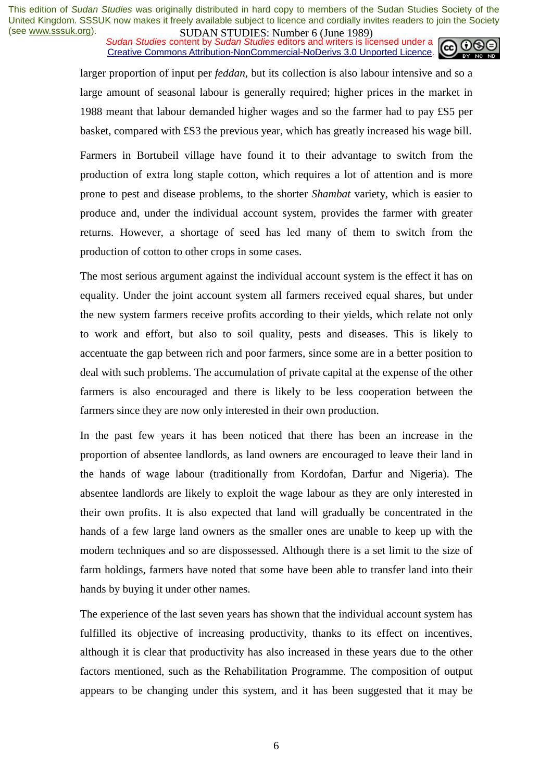**SUDAN STUDES:** PRIMITED **(Julie 1707)**<br>Sudan Studies content by Sudan Studies editors and writers is licensed under a Creative Commons Attribution-NonCommercial-NoDerivs 3.0 Unported Licence.



larger proportion of input per *feddan,* but its collection is also labour intensive and so a large amount of seasonal labour is generally required; higher prices in the market in 1988 meant that labour demanded higher wages and so the farmer had to pay £S5 per basket, compared with £S3 the previous year, which has greatly increased his wage bill.

Farmers in Bortubeil village have found it to their advantage to switch from the production of extra long staple cotton, which requires a lot of attention and is more prone to pest and disease problems, to the shorter *Shambat* variety, which is easier to produce and, under the individual account system, provides the farmer with greater returns. However, a shortage of seed has led many of them to switch from the production of cotton to other crops in some cases.

The most serious argument against the individual account system is the effect it has on equality. Under the joint account system all farmers received equal shares, but under the new system farmers receive profits according to their yields, which relate not only to work and effort, but also to soil quality, pests and diseases. This is likely to accentuate the gap between rich and poor farmers, since some are in a better position to deal with such problems. The accumulation of private capital at the expense of the other farmers is also encouraged and there is likely to be less cooperation between the farmers since they are now only interested in their own production.

In the past few years it has been noticed that there has been an increase in the proportion of absentee landlords, as land owners are encouraged to leave their land in the hands of wage labour (traditionally from Kordofan, Darfur and Nigeria). The absentee landlords are likely to exploit the wage labour as they are only interested in their own profits. It is also expected that land will gradually be concentrated in the hands of a few large land owners as the smaller ones are unable to keep up with the modern techniques and so are dispossessed. Although there is a set limit to the size of farm holdings, farmers have noted that some have been able to transfer land into their hands by buying it under other names.

The experience of the last seven years has shown that the individual account system has fulfilled its objective of increasing productivity, thanks to its effect on incentives, although it is clear that productivity has also increased in these years due to the other factors mentioned, such as the Rehabilitation Programme. The composition of output appears to be changing under this system, and it has been suggested that it may be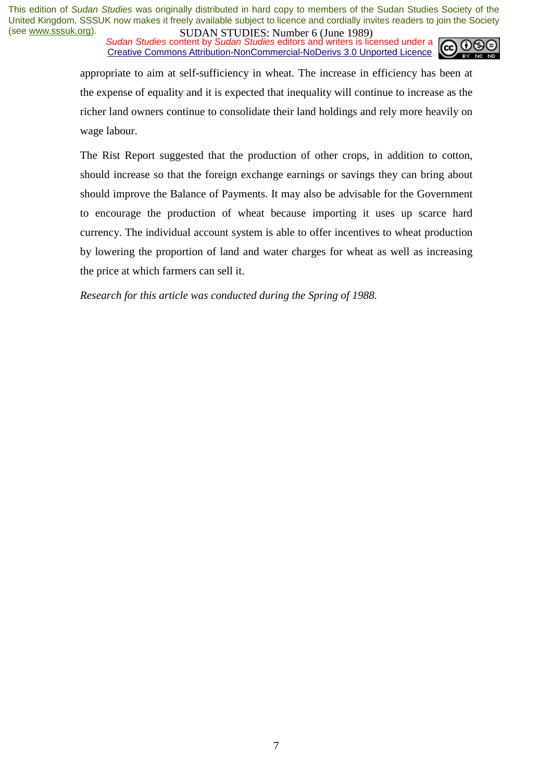**SUDAN STUDES.** NUTTURE UP the 1707 Sudan Studies content by *Sudan Studies* editors and writers is licensed under a Creative Commons Attribution-NonCommercial-NoDerivs 3.0 Unported Licence.



appropriate to aim at self-sufficiency in wheat. The increase in efficiency has been at the expense of equality and it is expected that inequality will continue to increase as the richer land owners continue to consolidate their land holdings and rely more heavily on wage labour.

The Rist Report suggested that the production of other crops, in addition to cotton, should increase so that the foreign exchange earnings or savings they can bring about should improve the Balance of Payments. It may also be advisable for the Government to encourage the production of wheat because importing it uses up scarce hard currency. The individual account system is able to offer incentives to wheat production by lowering the proportion of land and water charges for wheat as well as increasing the price at which farmers can sell it.

*Research for this article was conducted during the Spring of 1988.*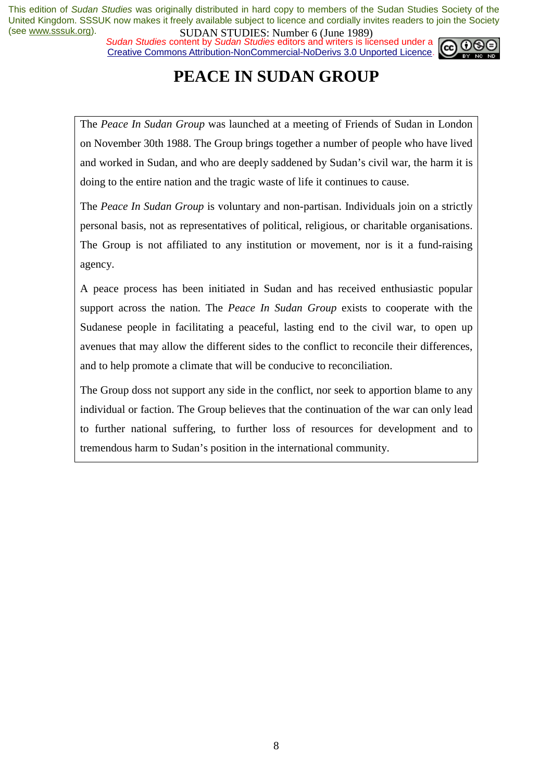*Sudan Studies* content by *Sudan Studies* editors and writers is licensed under a Creative Commons Attribution-NonCommercial-NoDerivs 3.0 Unported Licence.



# **PEACE IN SUDAN GROUP**

The *Peace In Sudan Group* was launched at a meeting of Friends of Sudan in London on November 30th 1988. The Group brings together a number of people who have lived and worked in Sudan, and who are deeply saddened by Sudan's civil war, the harm it is doing to the entire nation and the tragic waste of life it continues to cause.

The *Peace In Sudan Group* is voluntary and non-partisan. Individuals join on a strictly personal basis, not as representatives of political, religious, or charitable organisations. The Group is not affiliated to any institution or movement, nor is it a fund-raising agency.

A peace process has been initiated in Sudan and has received enthusiastic popular support across the nation. The *Peace In Sudan Group* exists to cooperate with the Sudanese people in facilitating a peaceful, lasting end to the civil war, to open up avenues that may allow the different sides to the conflict to reconcile their differences, and to help promote a climate that will be conducive to reconciliation.

The Group doss not support any side in the conflict, nor seek to apportion blame to any individual or faction. The Group believes that the continuation of the war can only lead to further national suffering, to further loss of resources for development and to tremendous harm to Sudan's position in the international community.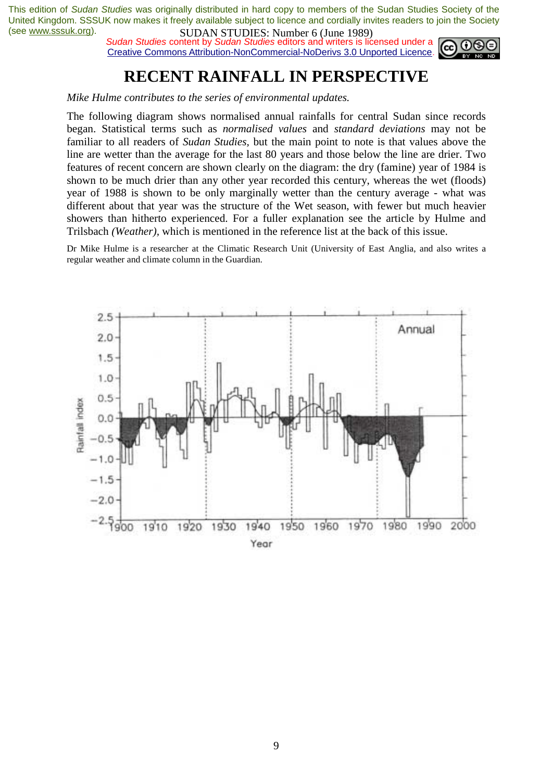*Sudan Studies* content by *Sudan Studies* editors and writers is licensed under a Creative Commons Attribution-NonCommercial-NoDerivs 3.0 Unported Licence.



### **RECENT RAINFALL IN PERSPECTIVE**

*Mike Hulme contributes to the series of environmental updates.* 

The following diagram shows normalised annual rainfalls for central Sudan since records began. Statistical terms such as *normalised values* and *standard deviations* may not be familiar to all readers of *Sudan Studies,* but the main point to note is that values above the line are wetter than the average for the last 80 years and those below the line are drier. Two features of recent concern are shown clearly on the diagram: the dry (famine) year of 1984 is shown to be much drier than any other year recorded this century, whereas the wet (floods) year of 1988 is shown to be only marginally wetter than the century average - what was different about that year was the structure of the Wet season, with fewer but much heavier showers than hitherto experienced. For a fuller explanation see the article by Hulme and Trilsbach *(Weather),* which is mentioned in the reference list at the back of this issue.

Dr Mike Hulme is a researcher at the Climatic Research Unit (University of East Anglia, and also writes a regular weather and climate column in the Guardian.

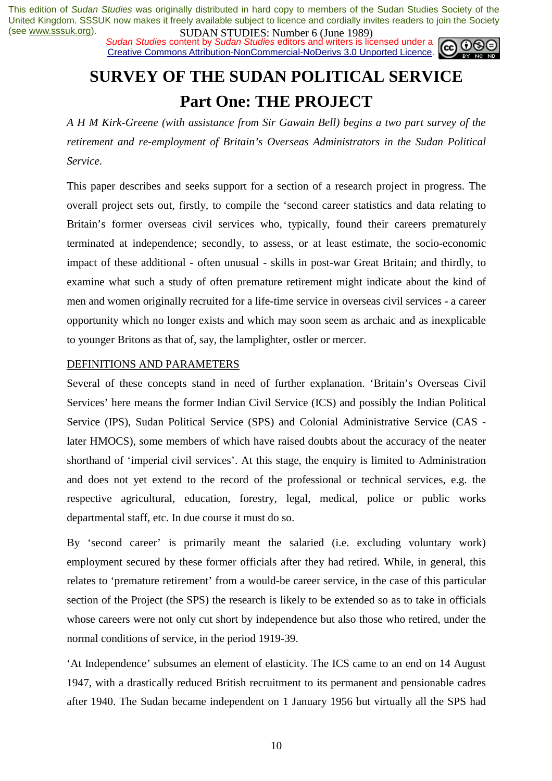**SUDAN STUDES:** NUTTUP CONTROLLARY SUBDAY SUBDAY SUBDAY SUBDAY SUBDAY SUBDAY SUBDAY SUBDAY SUBDAY SUBDAY SCIENCE AND SOLUTION OF THE SCIENCE OF THE SCIENCE OF THE SCIENCE OF THE SCIENCE OF THE SCIENCE OF THE SCIENCE OF THE Creative Commons Attribution-NonCommercial-NoDerivs 3.0 Unported Licence.



# **SURVEY OF THE SUDAN POLITICAL SERVICE Part One: THE PROJECT**

*A H M Kirk-Greene (with assistance from Sir Gawain Bell) begins a two part survey of the retirement and re-employment of Britain's Overseas Administrators in the Sudan Political Service*.

This paper describes and seeks support for a section of a research project in progress. The overall project sets out, firstly, to compile the 'second career statistics and data relating to Britain's former overseas civil services who, typically, found their careers prematurely terminated at independence; secondly, to assess, or at least estimate, the socio-economic impact of these additional - often unusual - skills in post-war Great Britain; and thirdly, to examine what such a study of often premature retirement might indicate about the kind of men and women originally recruited for a life-time service in overseas civil services - a career opportunity which no longer exists and which may soon seem as archaic and as inexplicable to younger Britons as that of, say, the lamplighter, ostler or mercer.

### DEFINITIONS AND PARAMETERS

Several of these concepts stand in need of further explanation. 'Britain's Overseas Civil Services' here means the former Indian Civil Service (ICS) and possibly the Indian Political Service (IPS), Sudan Political Service (SPS) and Colonial Administrative Service (CAS later HMOCS), some members of which have raised doubts about the accuracy of the neater shorthand of 'imperial civil services'. At this stage, the enquiry is limited to Administration and does not yet extend to the record of the professional or technical services, e.g. the respective agricultural, education, forestry, legal, medical, police or public works departmental staff, etc. In due course it must do so.

By 'second career' is primarily meant the salaried (i.e. excluding voluntary work) employment secured by these former officials after they had retired. While, in general, this relates to 'premature retirement' from a would-be career service, in the case of this particular section of the Project (the SPS) the research is likely to be extended so as to take in officials whose careers were not only cut short by independence but also those who retired, under the normal conditions of service, in the period 1919-39.

'At Independence' subsumes an element of elasticity. The ICS came to an end on 14 August 1947, with a drastically reduced British recruitment to its permanent and pensionable cadres after 1940. The Sudan became independent on 1 January 1956 but virtually all the SPS had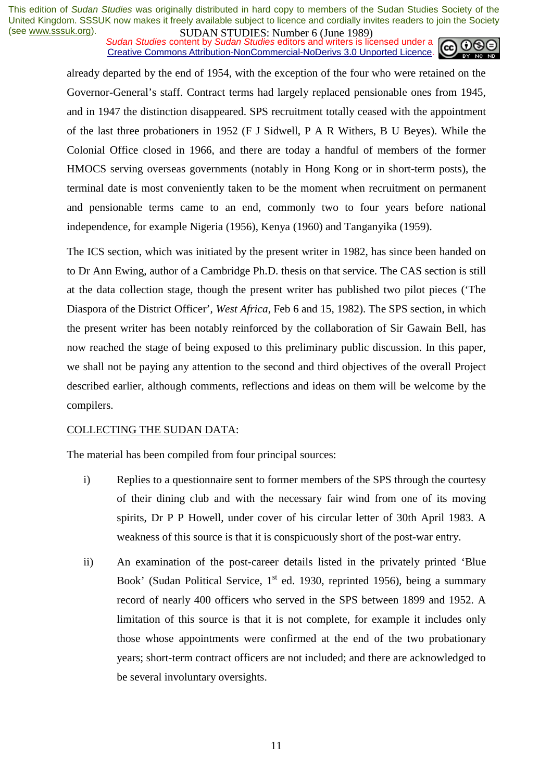**SUDAN STUDES.** NUTTURE UP the 1707 Sudan Studies content by *Sudan Studies* editors and writers is licensed under a Creative Commons Attribution-NonCommercial-NoDerivs 3.0 Unported Licence.



already departed by the end of 1954, with the exception of the four who were retained on the Governor-General's staff. Contract terms had largely replaced pensionable ones from 1945, and in 1947 the distinction disappeared. SPS recruitment totally ceased with the appointment of the last three probationers in 1952 (F J Sidwell, P A R Withers, B U Beyes). While the Colonial Office closed in 1966, and there are today a handful of members of the former HMOCS serving overseas governments (notably in Hong Kong or in short-term posts), the terminal date is most conveniently taken to be the moment when recruitment on permanent and pensionable terms came to an end, commonly two to four years before national independence, for example Nigeria (1956), Kenya (1960) and Tanganyika (1959).

The ICS section, which was initiated by the present writer in 1982, has since been handed on to Dr Ann Ewing, author of a Cambridge Ph.D. thesis on that service. The CAS section is still at the data collection stage, though the present writer has published two pilot pieces ('The Diaspora of the District Officer', *West Africa*, Feb 6 and 15, 1982). The SPS section, in which the present writer has been notably reinforced by the collaboration of Sir Gawain Bell, has now reached the stage of being exposed to this preliminary public discussion. In this paper, we shall not be paying any attention to the second and third objectives of the overall Project described earlier, although comments, reflections and ideas on them will be welcome by the compilers.

#### COLLECTING THE SUDAN DATA:

The material has been compiled from four principal sources:

- i) Replies to a questionnaire sent to former members of the SPS through the courtesy of their dining club and with the necessary fair wind from one of its moving spirits, Dr P P Howell, under cover of his circular letter of 30th April 1983. A weakness of this source is that it is conspicuously short of the post-war entry.
- ii) An examination of the post-career details listed in the privately printed 'Blue Book' (Sudan Political Service,  $1<sup>st</sup>$  ed. 1930, reprinted 1956), being a summary record of nearly 400 officers who served in the SPS between 1899 and 1952. A limitation of this source is that it is not complete, for example it includes only those whose appointments were confirmed at the end of the two probationary years; short-term contract officers are not included; and there are acknowledged to be several involuntary oversights.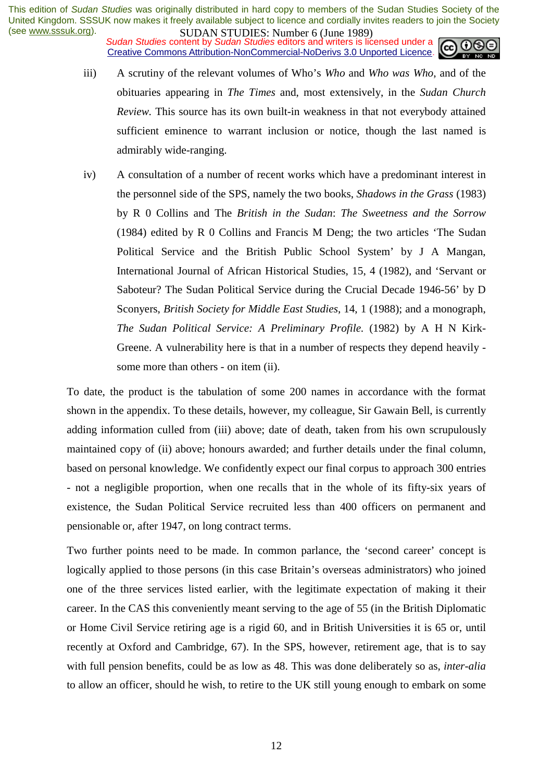**SUDAN STUDES:** PRIMITED **(Julie 1707)**<br>Sudan Studies content by Sudan Studies editors and writers is licensed under a Creative Commons Attribution-NonCommercial-NoDerivs 3.0 Unported Licence.



- iii) A scrutiny of the relevant volumes of Who's *Who* and *Who was Who*, and of the obituaries appearing in *The Times* and, most extensively, in the *Sudan Church Review.* This source has its own built-in weakness in that not everybody attained sufficient eminence to warrant inclusion or notice, though the last named is admirably wide-ranging.
- iv) A consultation of a number of recent works which have a predominant interest in the personnel side of the SPS, namely the two books, *Shadows in the Grass* (1983) by R 0 Collins and The *British in the Sudan*: *The Sweetness and the Sorrow* (1984) edited by R 0 Collins and Francis M Deng; the two articles 'The Sudan Political Service and the British Public School System' by J A Mangan, International Journal of African Historical Studies, 15, 4 (1982), and 'Servant or Saboteur? The Sudan Political Service during the Crucial Decade 1946-56' by D Sconyers, *British Society for Middle East Studies*, 14, 1 (1988); and a monograph, *The Sudan Political Service: A Preliminary Profile.* (1982) by A H N Kirk-Greene. A vulnerability here is that in a number of respects they depend heavily some more than others - on item (ii).

To date, the product is the tabulation of some 200 names in accordance with the format shown in the appendix. To these details, however, my colleague, Sir Gawain Bell, is currently adding information culled from (iii) above; date of death, taken from his own scrupulously maintained copy of (ii) above; honours awarded; and further details under the final column, based on personal knowledge. We confidently expect our final corpus to approach 300 entries - not a negligible proportion, when one recalls that in the whole of its fifty-six years of existence, the Sudan Political Service recruited less than 400 officers on permanent and pensionable or, after 1947, on long contract terms.

Two further points need to be made. In common parlance, the 'second career' concept is logically applied to those persons (in this case Britain's overseas administrators) who joined one of the three services listed earlier, with the legitimate expectation of making it their career. In the CAS this conveniently meant serving to the age of 55 (in the British Diplomatic or Home Civil Service retiring age is a rigid 60, and in British Universities it is 65 or, until recently at Oxford and Cambridge, 67). In the SPS, however, retirement age, that is to say with full pension benefits, could be as low as 48. This was done deliberately so as, *inter-alia* to allow an officer, should he wish, to retire to the UK still young enough to embark on some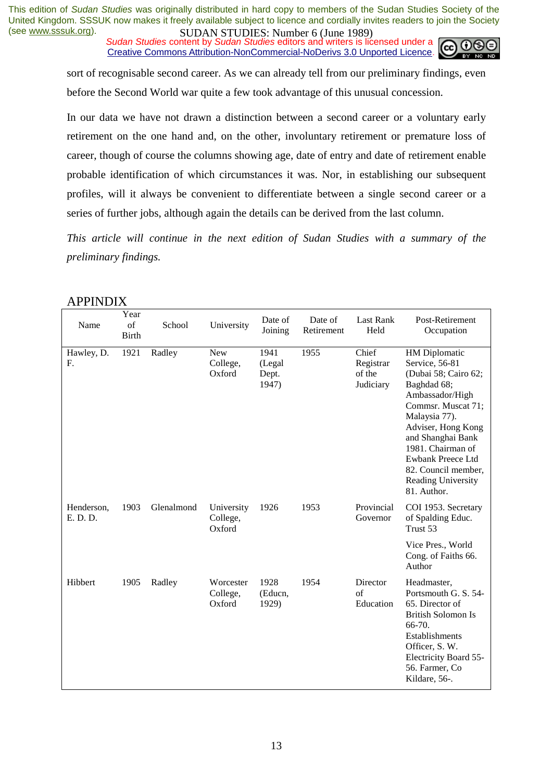**SUDAN STUDES.** NUTTURE UP the 1707 Sudan Studies content by *Sudan Studies* editors and writers is licensed under a Creative Commons Attribution-NonCommercial-NoDerivs 3.0 Unported Licence.



sort of recognisable second career. As we can already tell from our preliminary findings, even before the Second World war quite a few took advantage of this unusual concession.

In our data we have not drawn a distinction between a second career or a voluntary early retirement on the one hand and, on the other, involuntary retirement or premature loss of career, though of course the columns showing age, date of entry and date of retirement enable probable identification of which circumstances it was. Nor, in establishing our subsequent profiles, will it always be convenient to differentiate between a single second career or a series of further jobs, although again the details can be derived from the last column.

*This article will continue in the next edition of Sudan Studies with a summary of the preliminary findings.* 

| Name                   | Year<br>of<br><b>Birth</b> | School     | University                       | Date of<br>Joining               | Date of<br>Retirement | <b>Last Rank</b><br>Held                  | Post-Retirement<br>Occupation                                                                                                                                                                                                                                                            |
|------------------------|----------------------------|------------|----------------------------------|----------------------------------|-----------------------|-------------------------------------------|------------------------------------------------------------------------------------------------------------------------------------------------------------------------------------------------------------------------------------------------------------------------------------------|
| Hawley, D.<br>F.       | 1921                       | Radley     | <b>New</b><br>College,<br>Oxford | 1941<br>(Legal<br>Dept.<br>1947) | 1955                  | Chief<br>Registrar<br>of the<br>Judiciary | <b>HM</b> Diplomatic<br>Service, 56-81<br>(Dubai 58; Cairo 62;<br>Baghdad 68;<br>Ambassador/High<br>Commsr. Muscat 71;<br>Malaysia 77).<br>Adviser, Hong Kong<br>and Shanghai Bank<br>1981. Chairman of<br>Ewbank Preece Ltd<br>82. Council member,<br>Reading University<br>81. Author. |
| Henderson,<br>E. D. D. | 1903                       | Glenalmond | University<br>College,<br>Oxford | 1926                             | 1953                  | Provincial<br>Governor                    | COI 1953. Secretary<br>of Spalding Educ.<br>Trust 53                                                                                                                                                                                                                                     |
|                        |                            |            |                                  |                                  |                       |                                           | Vice Pres., World<br>Cong. of Faiths 66.<br>Author                                                                                                                                                                                                                                       |
| Hibbert                | 1905                       | Radley     | Worcester<br>College,<br>Oxford  | 1928<br>(Educn,<br>1929)         | 1954                  | Director<br>$\alpha$ f<br>Education       | Headmaster,<br>Portsmouth G. S. 54-<br>65. Director of<br><b>British Solomon Is</b><br>66-70.<br>Establishments<br>Officer, S. W.<br>Electricity Board 55-<br>56. Farmer, Co<br>Kildare, 56-.                                                                                            |

### APPINDIX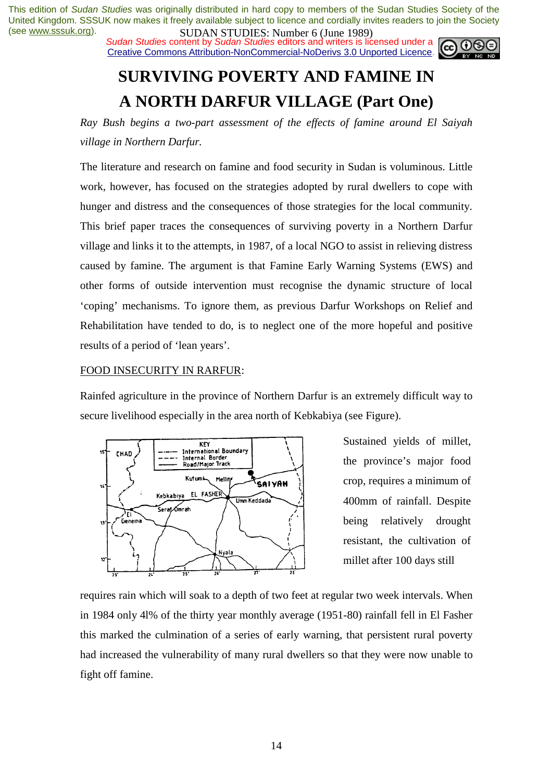**SUDAN STUDES:** PRIMITED (Julie 1707)<br>Sudan Studies content by Sudan Studies editors and writers is licensed under a Creative Commons Attribution-NonCommercial-NoDerivs 3.0 Unported Licence.



# **SURVIVING POVERTY AND FAMINE IN A NORTH DARFUR VILLAGE (Part One)**

*Ray Bush begins a two-part assessment of the effects of famine around El Saiyah village in Northern Darfur.* 

The literature and research on famine and food security in Sudan is voluminous. Little work, however, has focused on the strategies adopted by rural dwellers to cope with hunger and distress and the consequences of those strategies for the local community. This brief paper traces the consequences of surviving poverty in a Northern Darfur village and links it to the attempts, in 1987, of a local NGO to assist in relieving distress caused by famine. The argument is that Famine Early Warning Systems (EWS) and other forms of outside intervention must recognise the dynamic structure of local 'coping' mechanisms. To ignore them, as previous Darfur Workshops on Relief and Rehabilitation have tended to do, is to neglect one of the more hopeful and positive results of a period of 'lean years'.

### FOOD INSECURITY IN RARFUR:

Rainfed agriculture in the province of Northern Darfur is an extremely difficult way to secure livelihood especially in the area north of Kebkabiya (see Figure).



Sustained yields of millet, the province's major food crop, requires a minimum of 400mm of rainfall. Despite being relatively drought resistant, the cultivation of millet after 100 days still

requires rain which will soak to a depth of two feet at regular two week intervals. When in 1984 only 4l% of the thirty year monthly average (1951-80) rainfall fell in El Fasher this marked the culmination of a series of early warning, that persistent rural poverty had increased the vulnerability of many rural dwellers so that they were now unable to fight off famine.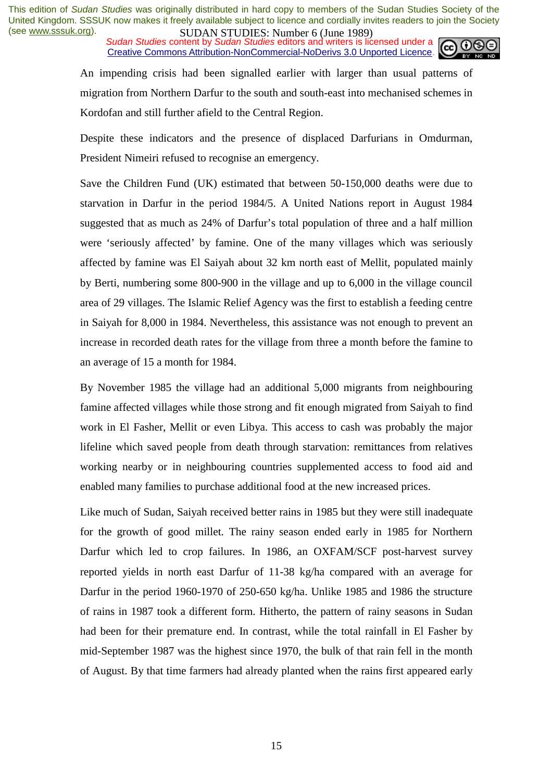**SUDAN STUDES:** PRIMITED **(Julie 1707)**<br>Sudan Studies content by Sudan Studies editors and writers is licensed under a Creative Commons Attribution-NonCommercial-NoDerivs 3.0 Unported Licence.



An impending crisis had been signalled earlier with larger than usual patterns of migration from Northern Darfur to the south and south-east into mechanised schemes in Kordofan and still further afield to the Central Region.

Despite these indicators and the presence of displaced Darfurians in Omdurman, President Nimeiri refused to recognise an emergency.

Save the Children Fund (UK) estimated that between 50-150,000 deaths were due to starvation in Darfur in the period 1984/5. A United Nations report in August 1984 suggested that as much as 24% of Darfur's total population of three and a half million were 'seriously affected' by famine. One of the many villages which was seriously affected by famine was El Saiyah about 32 km north east of Mellit, populated mainly by Berti, numbering some 800-900 in the village and up to 6,000 in the village council area of 29 villages. The Islamic Relief Agency was the first to establish a feeding centre in Saiyah for 8,000 in 1984. Nevertheless, this assistance was not enough to prevent an increase in recorded death rates for the village from three a month before the famine to an average of 15 a month for 1984.

By November 1985 the village had an additional 5,000 migrants from neighbouring famine affected villages while those strong and fit enough migrated from Saiyah to find work in El Fasher, Mellit or even Libya. This access to cash was probably the major lifeline which saved people from death through starvation: remittances from relatives working nearby or in neighbouring countries supplemented access to food aid and enabled many families to purchase additional food at the new increased prices.

Like much of Sudan, Saiyah received better rains in 1985 but they were still inadequate for the growth of good millet. The rainy season ended early in 1985 for Northern Darfur which led to crop failures. In 1986, an OXFAM/SCF post-harvest survey reported yields in north east Darfur of 11-38 kg/ha compared with an average for Darfur in the period 1960-1970 of 250-650 kg/ha. Unlike 1985 and 1986 the structure of rains in 1987 took a different form. Hitherto, the pattern of rainy seasons in Sudan had been for their premature end. In contrast, while the total rainfall in El Fasher by mid-September 1987 was the highest since 1970, the bulk of that rain fell in the month of August. By that time farmers had already planted when the rains first appeared early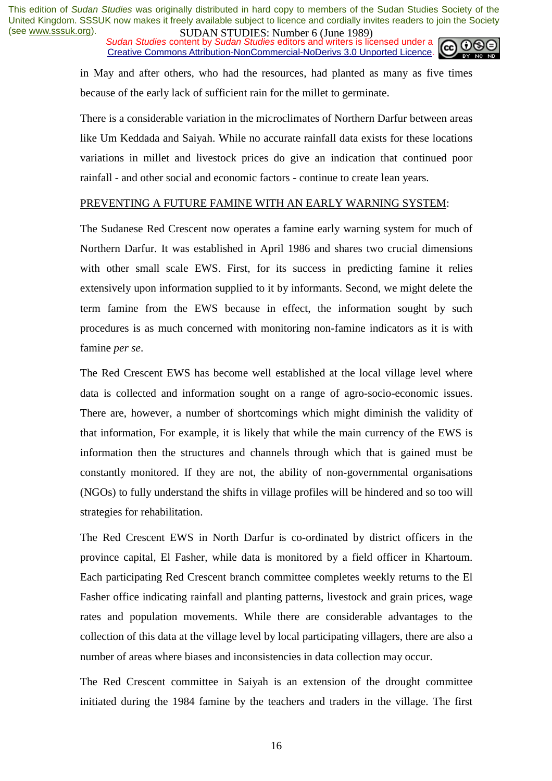*Sudan Studies* content by *Sudan Studies* editors and writers is licensed under a Creative Commons Attribution-NonCommercial-NoDerivs 3.0 Unported Licence.



in May and after others, who had the resources, had planted as many as five times because of the early lack of sufficient rain for the millet to germinate.

There is a considerable variation in the microclimates of Northern Darfur between areas like Um Keddada and Saiyah. While no accurate rainfall data exists for these locations variations in millet and livestock prices do give an indication that continued poor rainfall - and other social and economic factors - continue to create lean years.

#### PREVENTING A FUTURE FAMINE WITH AN EARLY WARNING SYSTEM:

The Sudanese Red Crescent now operates a famine early warning system for much of Northern Darfur. It was established in April 1986 and shares two crucial dimensions with other small scale EWS. First, for its success in predicting famine it relies extensively upon information supplied to it by informants. Second, we might delete the term famine from the EWS because in effect, the information sought by such procedures is as much concerned with monitoring non-famine indicators as it is with famine *per se*.

The Red Crescent EWS has become well established at the local village level where data is collected and information sought on a range of agro-socio-economic issues. There are, however, a number of shortcomings which might diminish the validity of that information, For example, it is likely that while the main currency of the EWS is information then the structures and channels through which that is gained must be constantly monitored. If they are not, the ability of non-governmental organisations (NGOs) to fully understand the shifts in village profiles will be hindered and so too will strategies for rehabilitation.

The Red Crescent EWS in North Darfur is co-ordinated by district officers in the province capital, El Fasher, while data is monitored by a field officer in Khartoum. Each participating Red Crescent branch committee completes weekly returns to the El Fasher office indicating rainfall and planting patterns, livestock and grain prices, wage rates and population movements. While there are considerable advantages to the collection of this data at the village level by local participating villagers, there are also a number of areas where biases and inconsistencies in data collection may occur.

The Red Crescent committee in Saiyah is an extension of the drought committee initiated during the 1984 famine by the teachers and traders in the village. The first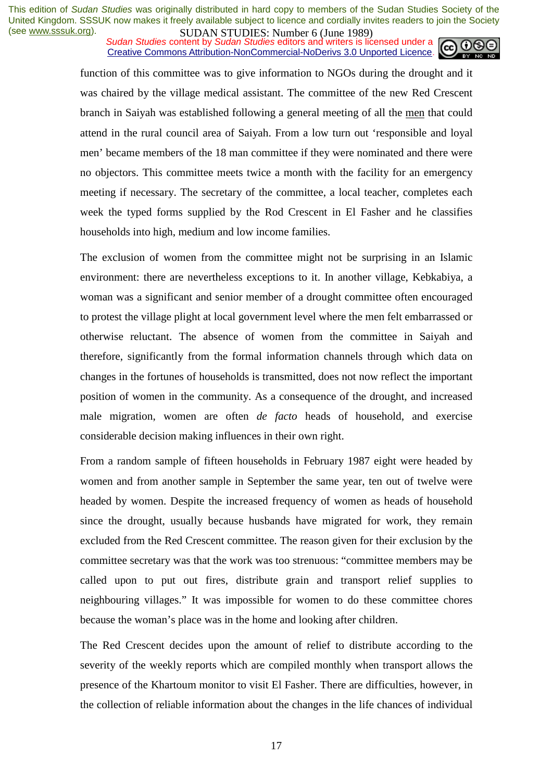**SUDAN STUDES:** PRIMITED (Julie 1707)<br>Sudan Studies content by Sudan Studies editors and writers is licensed under a Creative Commons Attribution-NonCommercial-NoDerivs 3.0 Unported Licence.



function of this committee was to give information to NGOs during the drought and it was chaired by the village medical assistant. The committee of the new Red Crescent branch in Saiyah was established following a general meeting of all the men that could attend in the rural council area of Saiyah. From a low turn out 'responsible and loyal men' became members of the 18 man committee if they were nominated and there were no objectors. This committee meets twice a month with the facility for an emergency meeting if necessary. The secretary of the committee, a local teacher, completes each week the typed forms supplied by the Rod Crescent in El Fasher and he classifies households into high, medium and low income families.

The exclusion of women from the committee might not be surprising in an Islamic environment: there are nevertheless exceptions to it. In another village, Kebkabiya, a woman was a significant and senior member of a drought committee often encouraged to protest the village plight at local government level where the men felt embarrassed or otherwise reluctant. The absence of women from the committee in Saiyah and therefore, significantly from the formal information channels through which data on changes in the fortunes of households is transmitted, does not now reflect the important position of women in the community. As a consequence of the drought, and increased male migration, women are often *de facto* heads of household, and exercise considerable decision making influences in their own right.

From a random sample of fifteen households in February 1987 eight were headed by women and from another sample in September the same year, ten out of twelve were headed by women. Despite the increased frequency of women as heads of household since the drought, usually because husbands have migrated for work, they remain excluded from the Red Crescent committee. The reason given for their exclusion by the committee secretary was that the work was too strenuous: "committee members may be called upon to put out fires, distribute grain and transport relief supplies to neighbouring villages." It was impossible for women to do these committee chores because the woman's place was in the home and looking after children.

The Red Crescent decides upon the amount of relief to distribute according to the severity of the weekly reports which are compiled monthly when transport allows the presence of the Khartoum monitor to visit El Fasher. There are difficulties, however, in the collection of reliable information about the changes in the life chances of individual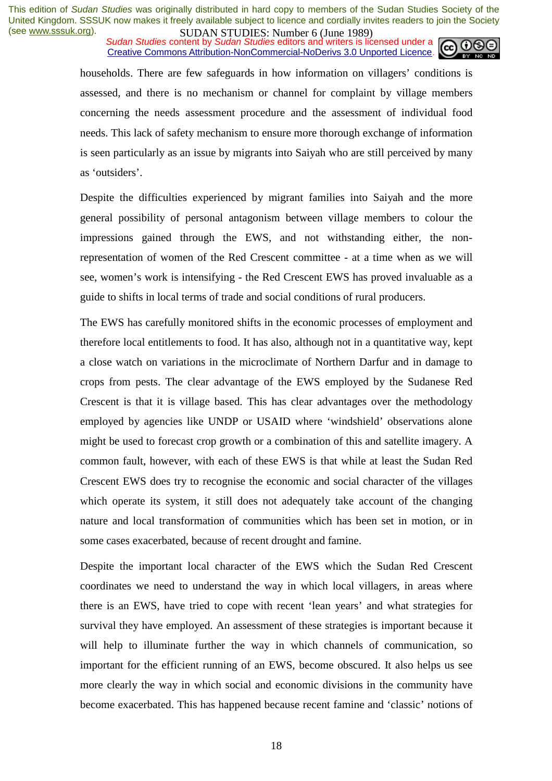**SUDAN STUDES:** PRIMITED (Julie 1707)<br>Sudan Studies content by Sudan Studies editors and writers is licensed under a Creative Commons Attribution-NonCommercial-NoDerivs 3.0 Unported Licence.



households. There are few safeguards in how information on villagers' conditions is assessed, and there is no mechanism or channel for complaint by village members concerning the needs assessment procedure and the assessment of individual food needs. This lack of safety mechanism to ensure more thorough exchange of information is seen particularly as an issue by migrants into Saiyah who are still perceived by many as 'outsiders'.

Despite the difficulties experienced by migrant families into Saiyah and the more general possibility of personal antagonism between village members to colour the impressions gained through the EWS, and not withstanding either, the nonrepresentation of women of the Red Crescent committee - at a time when as we will see, women's work is intensifying - the Red Crescent EWS has proved invaluable as a guide to shifts in local terms of trade and social conditions of rural producers.

The EWS has carefully monitored shifts in the economic processes of employment and therefore local entitlements to food. It has also, although not in a quantitative way, kept a close watch on variations in the microclimate of Northern Darfur and in damage to crops from pests. The clear advantage of the EWS employed by the Sudanese Red Crescent is that it is village based. This has clear advantages over the methodology employed by agencies like UNDP or USAID where 'windshield' observations alone might be used to forecast crop growth or a combination of this and satellite imagery. A common fault, however, with each of these EWS is that while at least the Sudan Red Crescent EWS does try to recognise the economic and social character of the villages which operate its system, it still does not adequately take account of the changing nature and local transformation of communities which has been set in motion, or in some cases exacerbated, because of recent drought and famine.

Despite the important local character of the EWS which the Sudan Red Crescent coordinates we need to understand the way in which local villagers, in areas where there is an EWS, have tried to cope with recent 'lean years' and what strategies for survival they have employed. An assessment of these strategies is important because it will help to illuminate further the way in which channels of communication, so important for the efficient running of an EWS, become obscured. It also helps us see more clearly the way in which social and economic divisions in the community have become exacerbated. This has happened because recent famine and 'classic' notions of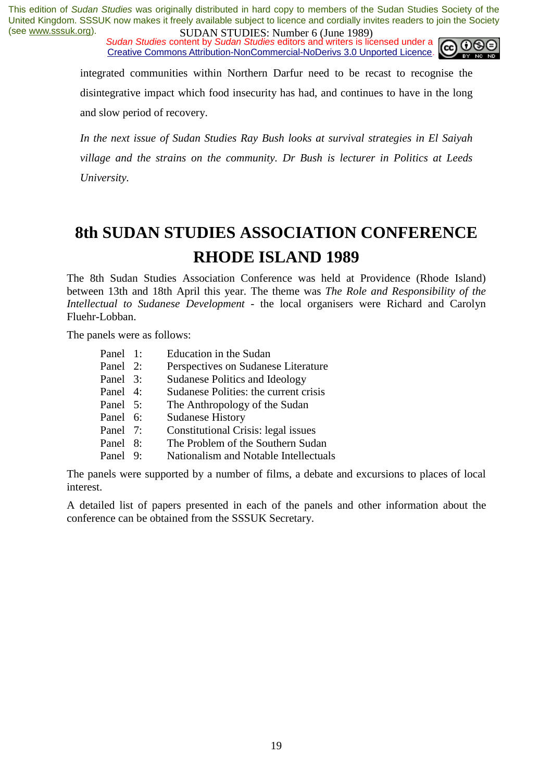*Sudan Studies* content by *Sudan Studies* editors and writers is licensed under a Creative Commons Attribution-NonCommercial-NoDerivs 3.0 Unported Licence.



integrated communities within Northern Darfur need to be recast to recognise the disintegrative impact which food insecurity has had, and continues to have in the long and slow period of recovery.

*In the next issue of Sudan Studies Ray Bush looks at survival strategies in El Saiyah village and the strains on the community. Dr Bush is lecturer in Politics at Leeds University.* 

# **8th SUDAN STUDIES ASSOCIATION CONFERENCE RHODE ISLAND 1989**

The 8th Sudan Studies Association Conference was held at Providence (Rhode Island) between 13th and 18th April this year. The theme was *The Role and Responsibility of the Intellectual to Sudanese Development* - the local organisers were Richard and Carolyn Fluehr-Lobban.

The panels were as follows:

| Panel 1:                                                 |  | Education in the Sudan                |  |  |
|----------------------------------------------------------|--|---------------------------------------|--|--|
| Panel 2:                                                 |  | Perspectives on Sudanese Literature   |  |  |
| Panel 3:                                                 |  | Sudanese Politics and Ideology        |  |  |
| Panel 4:                                                 |  | Sudanese Polities: the current crisis |  |  |
| Panel 5:                                                 |  | The Anthropology of the Sudan         |  |  |
| Panel 6:                                                 |  | <b>Sudanese History</b>               |  |  |
| Panel 7:                                                 |  | Constitutional Crisis: legal issues   |  |  |
| Panel 8:                                                 |  | The Problem of the Southern Sudan     |  |  |
| Panel 9:                                                 |  | Nationalism and Notable Intellectuals |  |  |
| The negate were supported by a number of films, a debate |  |                                       |  |  |

The panels were supported by a number of films, a debate and excursions to places of local interest.

A detailed list of papers presented in each of the panels and other information about the conference can be obtained from the SSSUK Secretary.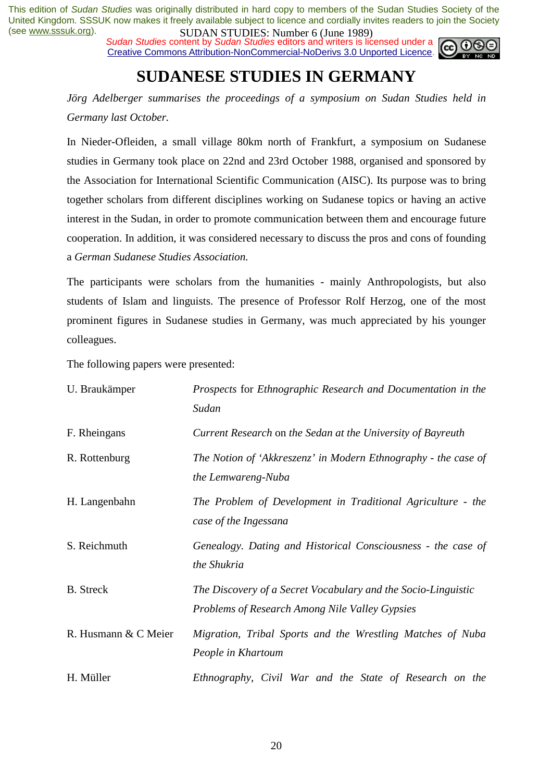**SUDAN STUDES:** INDUCED (June 1707)<br>Sudan Studies content by Sudan Studies editors and writers is licensed under a Creative Commons Attribution-NonCommercial-NoDerivs 3.0 Unported Licence.



# **SUDANESE STUDIES IN GERMANY**

*Jörg Adelberger summarises the proceedings of a symposium on Sudan Studies held in Germany last October.* 

In Nieder-Ofleiden, a small village 80km north of Frankfurt, a symposium on Sudanese studies in Germany took place on 22nd and 23rd October 1988, organised and sponsored by the Association for International Scientific Communication (AISC). Its purpose was to bring together scholars from different disciplines working on Sudanese topics or having an active interest in the Sudan, in order to promote communication between them and encourage future cooperation. In addition, it was considered necessary to discuss the pros and cons of founding a *German Sudanese Studies Association.* 

The participants were scholars from the humanities - mainly Anthropologists, but also students of Islam and linguists. The presence of Professor Rolf Herzog, one of the most prominent figures in Sudanese studies in Germany, was much appreciated by his younger colleagues.

The following papers were presented:

| U. Braukämper        | Prospects for Ethnographic Research and Documentation in the<br>Sudan                                                  |
|----------------------|------------------------------------------------------------------------------------------------------------------------|
| F. Rheingans         | Current Research on the Sedan at the University of Bayreuth                                                            |
| R. Rottenburg        | The Notion of 'Akkreszenz' in Modern Ethnography - the case of<br>the Lemwareng-Nuba                                   |
| H. Langenbahn        | The Problem of Development in Traditional Agriculture - the<br>case of the Ingessana                                   |
| S. Reichmuth         | Genealogy. Dating and Historical Consciousness - the case of<br>the Shukria                                            |
| <b>B.</b> Streck     | The Discovery of a Secret Vocabulary and the Socio-Linguistic<br><b>Problems of Research Among Nile Valley Gypsies</b> |
| R. Husmann & C Meier | Migration, Tribal Sports and the Wrestling Matches of Nuba<br>People in Khartoum                                       |
| H. Müller            | Ethnography, Civil War and the State of Research on the                                                                |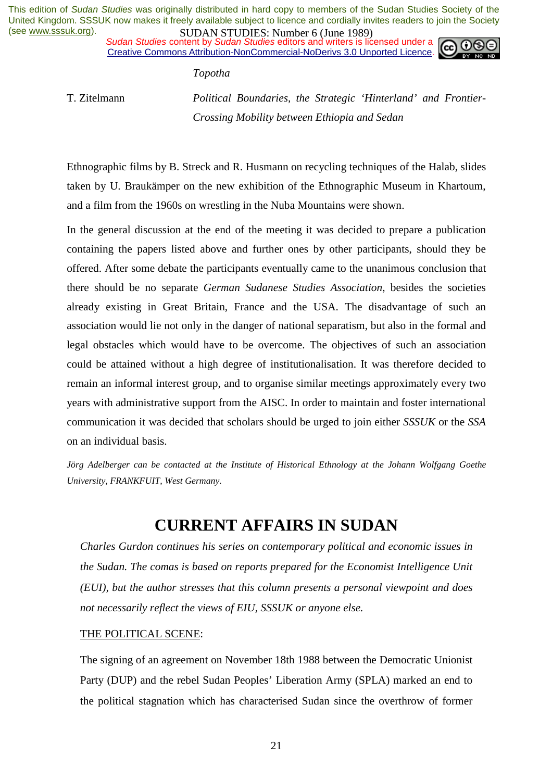*Sudan Studies* content by *Sudan Studies* editors and writers is licensed under a Creative Commons Attribution-NonCommercial-NoDerivs 3.0 Unported Licence.



*Topotha* 

T. Zitelmann *Political Boundaries, the Strategic 'Hinterland' and Frontier-Crossing Mobility between Ethiopia and Sedan* 

Ethnographic films by B. Streck and R. Husmann on recycling techniques of the Halab, slides taken by U. Braukämper on the new exhibition of the Ethnographic Museum in Khartoum, and a film from the 1960s on wrestling in the Nuba Mountains were shown.

In the general discussion at the end of the meeting it was decided to prepare a publication containing the papers listed above and further ones by other participants, should they be offered. After some debate the participants eventually came to the unanimous conclusion that there should be no separate *German Sudanese Studies Association,* besides the societies already existing in Great Britain, France and the USA. The disadvantage of such an association would lie not only in the danger of national separatism, but also in the formal and legal obstacles which would have to be overcome. The objectives of such an association could be attained without a high degree of institutionalisation. It was therefore decided to remain an informal interest group, and to organise similar meetings approximately every two years with administrative support from the AISC. In order to maintain and foster international communication it was decided that scholars should be urged to join either *SSSUK* or the *SSA*  on an individual basis.

*Jörg Adelberger can be contacted at the Institute of Historical Ethnology at the Johann Wolfgang Goethe University, FRANKFUIT, West Germany.* 

## **CURRENT AFFAIRS IN SUDAN**

*Charles Gurdon continues his series on contemporary political and economic issues in the Sudan. The comas is based on reports prepared for the Economist Intelligence Unit (EUI), but the author stresses that this column presents a personal viewpoint and does not necessarily reflect the views of EIU, SSSUK or anyone else.* 

### THE POLITICAL SCENE:

The signing of an agreement on November 18th 1988 between the Democratic Unionist Party (DUP) and the rebel Sudan Peoples' Liberation Army (SPLA) marked an end to the political stagnation which has characterised Sudan since the overthrow of former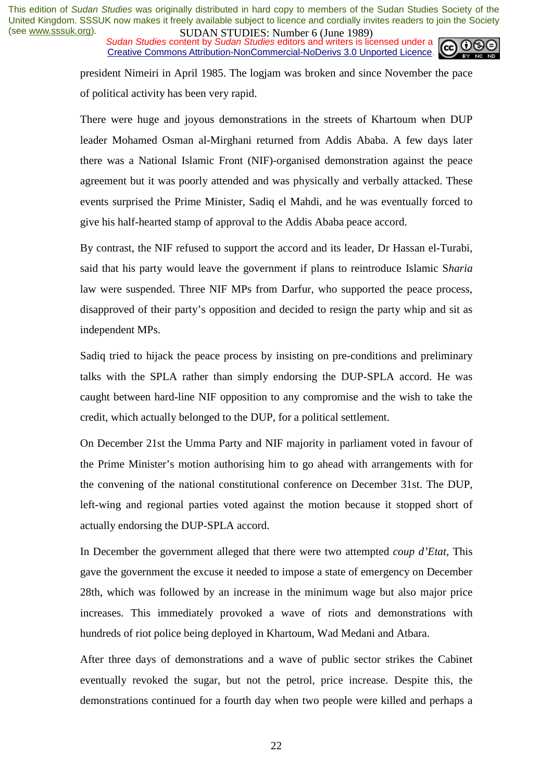**SUDAN STUDES.** NUTTURE UP the 1707 Sudan Studies content by *Sudan Studies* editors and writers is licensed under a Creative Commons Attribution-NonCommercial-NoDerivs 3.0 Unported Licence.



president Nimeiri in April 1985. The logjam was broken and since November the pace of political activity has been very rapid.

There were huge and joyous demonstrations in the streets of Khartoum when DUP leader Mohamed Osman al-Mirghani returned from Addis Ababa. A few days later there was a National Islamic Front (NIF)-organised demonstration against the peace agreement but it was poorly attended and was physically and verbally attacked. These events surprised the Prime Minister, Sadiq el Mahdi, and he was eventually forced to give his half-hearted stamp of approval to the Addis Ababa peace accord.

By contrast, the NIF refused to support the accord and its leader, Dr Hassan el-Turabi, said that his party would leave the government if plans to reintroduce Islamic S*haria*  law were suspended. Three NIF MPs from Darfur, who supported the peace process, disapproved of their party's opposition and decided to resign the party whip and sit as independent MPs.

Sadiq tried to hijack the peace process by insisting on pre-conditions and preliminary talks with the SPLA rather than simply endorsing the DUP-SPLA accord. He was caught between hard-line NIF opposition to any compromise and the wish to take the credit, which actually belonged to the DUP, for a political settlement.

On December 21st the Umma Party and NIF majority in parliament voted in favour of the Prime Minister's motion authorising him to go ahead with arrangements with for the convening of the national constitutional conference on December 31st. The DUP, left-wing and regional parties voted against the motion because it stopped short of actually endorsing the DUP-SPLA accord.

In December the government alleged that there were two attempted *coup d'Etat,* This gave the government the excuse it needed to impose a state of emergency on December 28th, which was followed by an increase in the minimum wage but also major price increases. This immediately provoked a wave of riots and demonstrations with hundreds of riot police being deployed in Khartoum, Wad Medani and Atbara.

After three days of demonstrations and a wave of public sector strikes the Cabinet eventually revoked the sugar, but not the petrol, price increase. Despite this, the demonstrations continued for a fourth day when two people were killed and perhaps a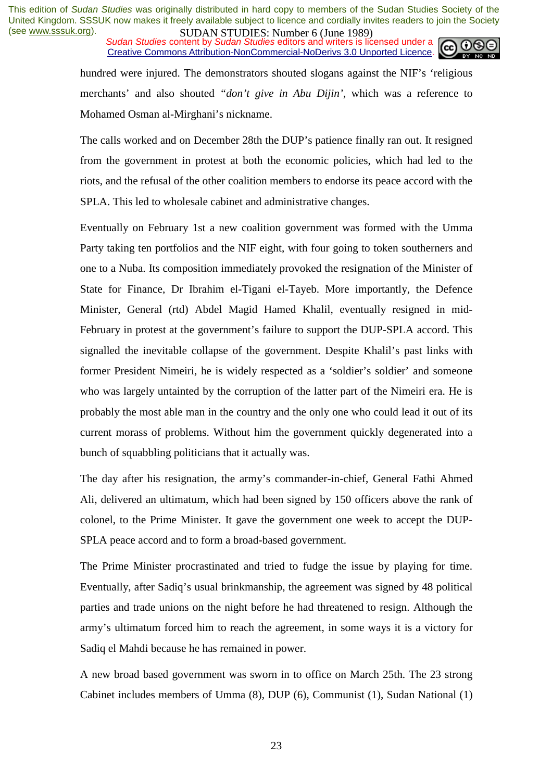*Sudan Studies* content by *Sudan Studies* editors and writers is licensed under a Creative Commons Attribution-NonCommercial-NoDerivs 3.0 Unported Licence.



hundred were injured. The demonstrators shouted slogans against the NIF's 'religious merchants' and also shouted *"don't give in Abu Dijin',* which was a reference to Mohamed Osman al-Mirghani's nickname.

The calls worked and on December 28th the DUP's patience finally ran out. It resigned from the government in protest at both the economic policies, which had led to the riots, and the refusal of the other coalition members to endorse its peace accord with the SPLA. This led to wholesale cabinet and administrative changes.

Eventually on February 1st a new coalition government was formed with the Umma Party taking ten portfolios and the NIF eight, with four going to token southerners and one to a Nuba. Its composition immediately provoked the resignation of the Minister of State for Finance, Dr Ibrahim el-Tigani el-Tayeb. More importantly, the Defence Minister, General (rtd) Abdel Magid Hamed Khalil, eventually resigned in mid-February in protest at the government's failure to support the DUP-SPLA accord. This signalled the inevitable collapse of the government. Despite Khalil's past links with former President Nimeiri, he is widely respected as a 'soldier's soldier' and someone who was largely untainted by the corruption of the latter part of the Nimeiri era. He is probably the most able man in the country and the only one who could lead it out of its current morass of problems. Without him the government quickly degenerated into a bunch of squabbling politicians that it actually was.

The day after his resignation, the army's commander-in-chief, General Fathi Ahmed Ali, delivered an ultimatum, which had been signed by 150 officers above the rank of colonel, to the Prime Minister. It gave the government one week to accept the DUP-SPLA peace accord and to form a broad-based government.

The Prime Minister procrastinated and tried to fudge the issue by playing for time. Eventually, after Sadiq's usual brinkmanship, the agreement was signed by 48 political parties and trade unions on the night before he had threatened to resign. Although the army's ultimatum forced him to reach the agreement, in some ways it is a victory for Sadiq el Mahdi because he has remained in power.

A new broad based government was sworn in to office on March 25th. The 23 strong Cabinet includes members of Umma (8), DUP (6), Communist (1), Sudan National (1)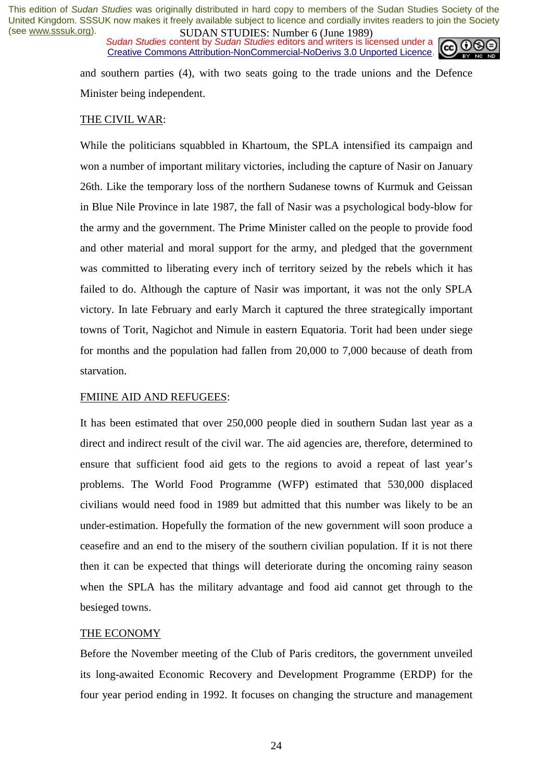*Sudan Studies* content by *Sudan Studies* editors and writers is licensed under a Creative Commons Attribution-NonCommercial-NoDerivs 3.0 Unported Licence.



and southern parties (4), with two seats going to the trade unions and the Defence Minister being independent.

#### THE CIVIL WAR:

While the politicians squabbled in Khartoum, the SPLA intensified its campaign and won a number of important military victories, including the capture of Nasir on January 26th. Like the temporary loss of the northern Sudanese towns of Kurmuk and Geissan in Blue Nile Province in late 1987, the fall of Nasir was a psychological body-blow for the army and the government. The Prime Minister called on the people to provide food and other material and moral support for the army, and pledged that the government was committed to liberating every inch of territory seized by the rebels which it has failed to do. Although the capture of Nasir was important, it was not the only SPLA victory. In late February and early March it captured the three strategically important towns of Torit, Nagichot and Nimule in eastern Equatoria. Torit had been under siege for months and the population had fallen from 20,000 to 7,000 because of death from starvation.

#### FMIINE AID AND REFUGEES:

It has been estimated that over 250,000 people died in southern Sudan last year as a direct and indirect result of the civil war. The aid agencies are, therefore, determined to ensure that sufficient food aid gets to the regions to avoid a repeat of last year's problems. The World Food Programme (WFP) estimated that 530,000 displaced civilians would need food in 1989 but admitted that this number was likely to be an under-estimation. Hopefully the formation of the new government will soon produce a ceasefire and an end to the misery of the southern civilian population. If it is not there then it can be expected that things will deteriorate during the oncoming rainy season when the SPLA has the military advantage and food aid cannot get through to the besieged towns.

#### THE ECONOMY

Before the November meeting of the Club of Paris creditors, the government unveiled its long-awaited Economic Recovery and Development Programme (ERDP) for the four year period ending in 1992. It focuses on changing the structure and management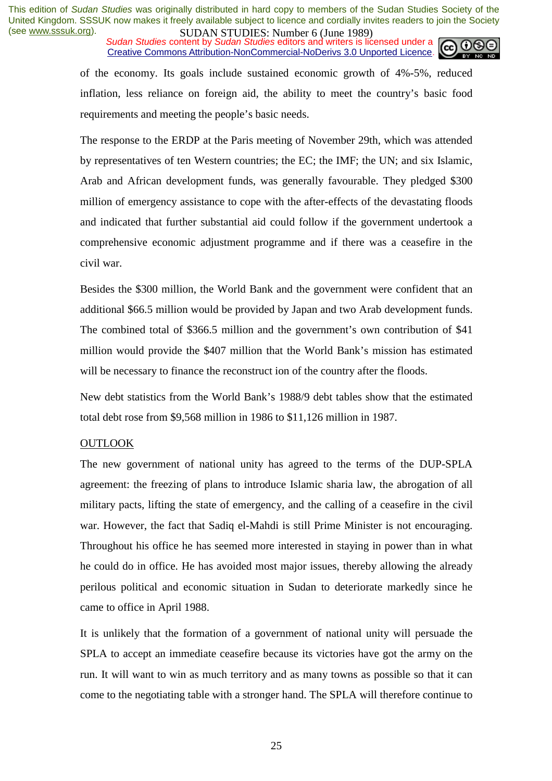*Sudan Studies* content by *Sudan Studies* editors and writers is licensed under a Creative Commons Attribution-NonCommercial-NoDerivs 3.0 Unported Licence.



of the economy. Its goals include sustained economic growth of 4%-5%, reduced inflation, less reliance on foreign aid, the ability to meet the country's basic food requirements and meeting the people's basic needs.

The response to the ERDP at the Paris meeting of November 29th, which was attended by representatives of ten Western countries; the EC; the IMF; the UN; and six Islamic, Arab and African development funds, was generally favourable. They pledged \$300 million of emergency assistance to cope with the after-effects of the devastating floods and indicated that further substantial aid could follow if the government undertook a comprehensive economic adjustment programme and if there was a ceasefire in the civil war.

Besides the \$300 million, the World Bank and the government were confident that an additional \$66.5 million would be provided by Japan and two Arab development funds. The combined total of \$366.5 million and the government's own contribution of \$41 million would provide the \$407 million that the World Bank's mission has estimated will be necessary to finance the reconstruct ion of the country after the floods.

New debt statistics from the World Bank's 1988/9 debt tables show that the estimated total debt rose from \$9,568 million in 1986 to \$11,126 million in 1987.

#### OUTLOOK

The new government of national unity has agreed to the terms of the DUP-SPLA agreement: the freezing of plans to introduce Islamic sharia law, the abrogation of all military pacts, lifting the state of emergency, and the calling of a ceasefire in the civil war. However, the fact that Sadiq el-Mahdi is still Prime Minister is not encouraging. Throughout his office he has seemed more interested in staying in power than in what he could do in office. He has avoided most major issues, thereby allowing the already perilous political and economic situation in Sudan to deteriorate markedly since he came to office in April 1988.

It is unlikely that the formation of a government of national unity will persuade the SPLA to accept an immediate ceasefire because its victories have got the army on the run. It will want to win as much territory and as many towns as possible so that it can come to the negotiating table with a stronger hand. The SPLA will therefore continue to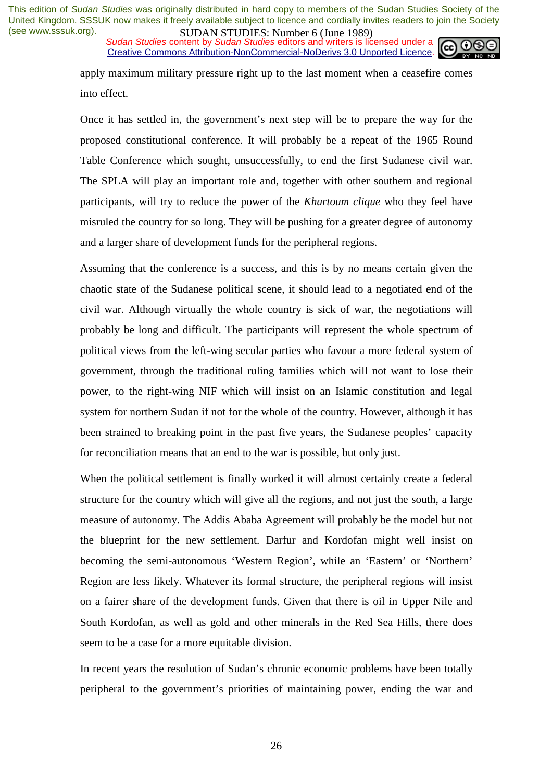*Sudan Studies* content by *Sudan Studies* editors and writers is licensed under a Creative Commons Attribution-NonCommercial-NoDerivs 3.0 Unported Licence.



apply maximum military pressure right up to the last moment when a ceasefire comes into effect.

Once it has settled in, the government's next step will be to prepare the way for the proposed constitutional conference. It will probably be a repeat of the 1965 Round Table Conference which sought, unsuccessfully, to end the first Sudanese civil war. The SPLA will play an important role and, together with other southern and regional participants, will try to reduce the power of the *Khartoum clique* who they feel have misruled the country for so long. They will be pushing for a greater degree of autonomy and a larger share of development funds for the peripheral regions.

Assuming that the conference is a success, and this is by no means certain given the chaotic state of the Sudanese political scene, it should lead to a negotiated end of the civil war. Although virtually the whole country is sick of war, the negotiations will probably be long and difficult. The participants will represent the whole spectrum of political views from the left-wing secular parties who favour a more federal system of government, through the traditional ruling families which will not want to lose their power, to the right-wing NIF which will insist on an Islamic constitution and legal system for northern Sudan if not for the whole of the country. However, although it has been strained to breaking point in the past five years, the Sudanese peoples' capacity for reconciliation means that an end to the war is possible, but only just.

When the political settlement is finally worked it will almost certainly create a federal structure for the country which will give all the regions, and not just the south, a large measure of autonomy. The Addis Ababa Agreement will probably be the model but not the blueprint for the new settlement. Darfur and Kordofan might well insist on becoming the semi-autonomous 'Western Region', while an 'Eastern' or 'Northern' Region are less likely. Whatever its formal structure, the peripheral regions will insist on a fairer share of the development funds. Given that there is oil in Upper Nile and South Kordofan, as well as gold and other minerals in the Red Sea Hills, there does seem to be a case for a more equitable division.

In recent years the resolution of Sudan's chronic economic problems have been totally peripheral to the government's priorities of maintaining power, ending the war and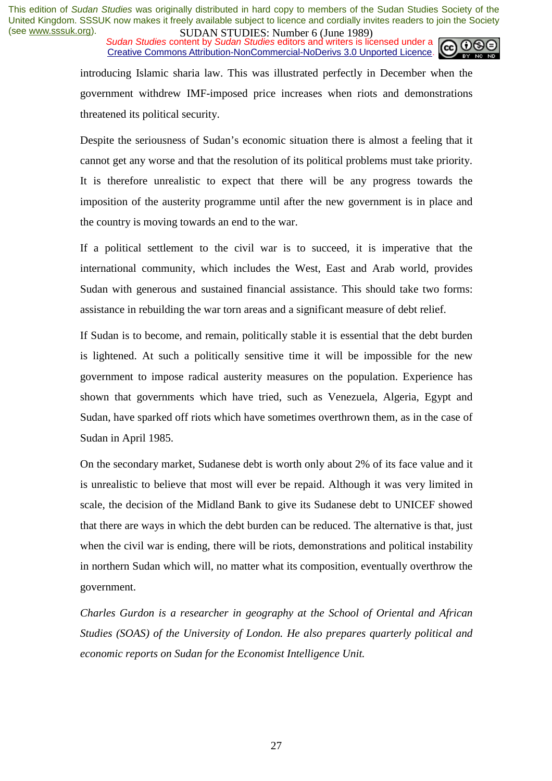*Sudan Studies* content by *Sudan Studies* editors and writers is licensed under a Creative Commons Attribution-NonCommercial-NoDerivs 3.0 Unported Licence.



introducing Islamic sharia law. This was illustrated perfectly in December when the government withdrew IMF-imposed price increases when riots and demonstrations threatened its political security.

Despite the seriousness of Sudan's economic situation there is almost a feeling that it cannot get any worse and that the resolution of its political problems must take priority. It is therefore unrealistic to expect that there will be any progress towards the imposition of the austerity programme until after the new government is in place and the country is moving towards an end to the war.

If a political settlement to the civil war is to succeed, it is imperative that the international community, which includes the West, East and Arab world, provides Sudan with generous and sustained financial assistance. This should take two forms: assistance in rebuilding the war torn areas and a significant measure of debt relief.

If Sudan is to become, and remain, politically stable it is essential that the debt burden is lightened. At such a politically sensitive time it will be impossible for the new government to impose radical austerity measures on the population. Experience has shown that governments which have tried, such as Venezuela, Algeria, Egypt and Sudan, have sparked off riots which have sometimes overthrown them, as in the case of Sudan in April 1985.

On the secondary market, Sudanese debt is worth only about 2% of its face value and it is unrealistic to believe that most will ever be repaid. Although it was very limited in scale, the decision of the Midland Bank to give its Sudanese debt to UNICEF showed that there are ways in which the debt burden can be reduced. The alternative is that, just when the civil war is ending, there will be riots, demonstrations and political instability in northern Sudan which will, no matter what its composition, eventually overthrow the government.

*Charles Gurdon is a researcher in geography at the School of Oriental and African Studies (SOAS) of the University of London. He also prepares quarterly political and economic reports on Sudan for the Economist Intelligence Unit.*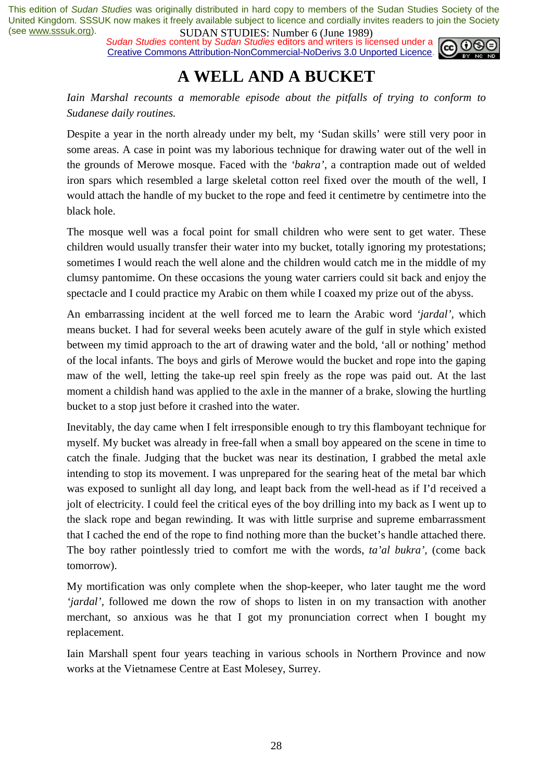*Sudan Studies* content by *Sudan Studies* editors and writers is licensed under a Creative Commons Attribution-NonCommercial-NoDerivs 3.0 Unported Licence.



## **A WELL AND A BUCKET**

*Iain Marshal recounts a memorable episode about the pitfalls of trying to conform to Sudanese daily routines.* 

Despite a year in the north already under my belt, my 'Sudan skills' were still very poor in some areas. A case in point was my laborious technique for drawing water out of the well in the grounds of Merowe mosque. Faced with the *'bakra',* a contraption made out of welded iron spars which resembled a large skeletal cotton reel fixed over the mouth of the well, I would attach the handle of my bucket to the rope and feed it centimetre by centimetre into the black hole.

The mosque well was a focal point for small children who were sent to get water. These children would usually transfer their water into my bucket, totally ignoring my protestations; sometimes I would reach the well alone and the children would catch me in the middle of my clumsy pantomime. On these occasions the young water carriers could sit back and enjoy the spectacle and I could practice my Arabic on them while I coaxed my prize out of the abyss.

An embarrassing incident at the well forced me to learn the Arabic word *'jardal',* which means bucket. I had for several weeks been acutely aware of the gulf in style which existed between my timid approach to the art of drawing water and the bold, 'all or nothing' method of the local infants. The boys and girls of Merowe would the bucket and rope into the gaping maw of the well, letting the take-up reel spin freely as the rope was paid out. At the last moment a childish hand was applied to the axle in the manner of a brake, slowing the hurtling bucket to a stop just before it crashed into the water.

Inevitably, the day came when I felt irresponsible enough to try this flamboyant technique for myself. My bucket was already in free-fall when a small boy appeared on the scene in time to catch the finale. Judging that the bucket was near its destination, I grabbed the metal axle intending to stop its movement. I was unprepared for the searing heat of the metal bar which was exposed to sunlight all day long, and leapt back from the well-head as if I'd received a jolt of electricity. I could feel the critical eyes of the boy drilling into my back as I went up to the slack rope and began rewinding. It was with little surprise and supreme embarrassment that I cached the end of the rope to find nothing more than the bucket's handle attached there. The boy rather pointlessly tried to comfort me with the words, *ta'al bukra',* (come back tomorrow).

My mortification was only complete when the shop-keeper, who later taught me the word *'jardal',* followed me down the row of shops to listen in on my transaction with another merchant, so anxious was he that I got my pronunciation correct when I bought my replacement.

Iain Marshall spent four years teaching in various schools in Northern Province and now works at the Vietnamese Centre at East Molesey, Surrey.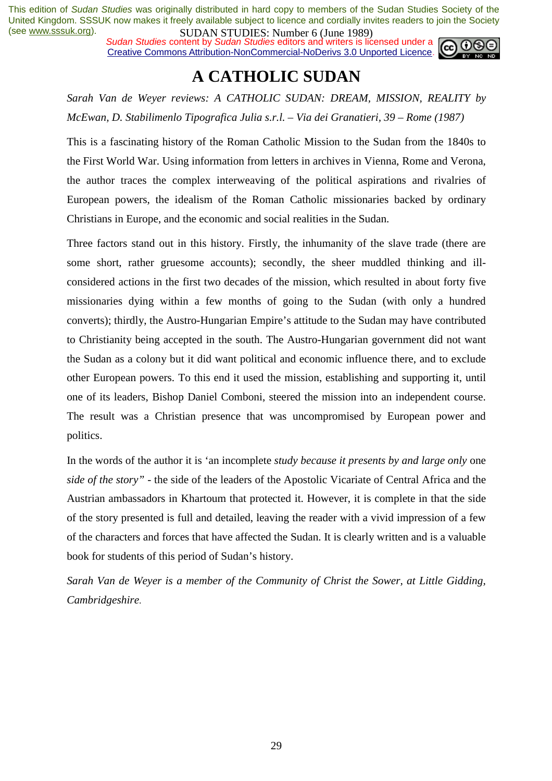*Sudan Studies* content by *Sudan Studies* editors and writers is licensed under a Creative Commons Attribution-NonCommercial-NoDerivs 3.0 Unported Licence.



### **A CATHOLIC SUDAN**

*Sarah Van de Weyer reviews: A CATHOLIC SUDAN: DREAM, MISSION, REALITY by McEwan, D. Stabilimenlo Tipografica Julia s.r.l. – Via dei Granatieri, 39 – Rome (1987)* 

This is a fascinating history of the Roman Catholic Mission to the Sudan from the 1840s to the First World War. Using information from letters in archives in Vienna, Rome and Verona, the author traces the complex interweaving of the political aspirations and rivalries of European powers, the idealism of the Roman Catholic missionaries backed by ordinary Christians in Europe, and the economic and social realities in the Sudan.

Three factors stand out in this history. Firstly, the inhumanity of the slave trade (there are some short, rather gruesome accounts); secondly, the sheer muddled thinking and illconsidered actions in the first two decades of the mission, which resulted in about forty five missionaries dying within a few months of going to the Sudan (with only a hundred converts); thirdly, the Austro-Hungarian Empire's attitude to the Sudan may have contributed to Christianity being accepted in the south. The Austro-Hungarian government did not want the Sudan as a colony but it did want political and economic influence there, and to exclude other European powers. To this end it used the mission, establishing and supporting it, until one of its leaders, Bishop Daniel Comboni, steered the mission into an independent course. The result was a Christian presence that was uncompromised by European power and politics.

In the words of the author it is 'an incomplete *study because it presents by and large only* one *side of the story"* - the side of the leaders of the Apostolic Vicariate of Central Africa and the Austrian ambassadors in Khartoum that protected it. However, it is complete in that the side of the story presented is full and detailed, leaving the reader with a vivid impression of a few of the characters and forces that have affected the Sudan. It is clearly written and is a valuable book for students of this period of Sudan's history.

*Sarah Van de Weyer is a member of the Community of Christ the Sower, at Little Gidding, Cambridgeshire*.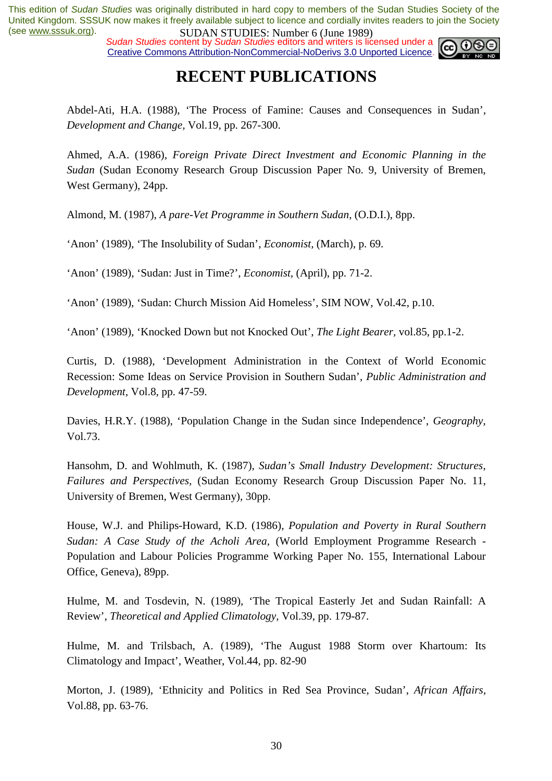*Sudan Studies* content by *Sudan Studies* editors and writers is licensed under a Creative Commons Attribution-NonCommercial-NoDerivs 3.0 Unported Licence.



## **RECENT PUBLICATIONS**

Abdel-Ati, H.A. (1988), 'The Process of Famine: Causes and Consequences in Sudan', *Development and Change,* Vol.19, pp. 267-300.

Ahmed, A.A. (1986), *Foreign Private Direct Investment and Economic Planning in the Sudan* (Sudan Economy Research Group Discussion Paper No. 9, University of Bremen, West Germany), 24pp.

Almond, M. (1987), *A pare-Vet Programme in Southern Sudan,* (O.D.I.), 8pp.

'Anon' (1989), 'The Insolubility of Sudan', *Economist,* (March), p. 69.

'Anon' (1989), 'Sudan: Just in Time?', *Economist,* (April), pp. 71-2.

'Anon' (1989), 'Sudan: Church Mission Aid Homeless', SIM NOW*,* Vol.42, p.10.

'Anon' (1989), 'Knocked Down but not Knocked Out', *The Light Bearer,* vol.85, pp.1-2.

Curtis, D. (1988), 'Development Administration in the Context of World Economic Recession: Some Ideas on Service Provision in Southern Sudan', *Public Administration and Development,* Vol.8, pp. 47-59.

Davies, H.R.Y. (1988), 'Population Change in the Sudan since Independence', *Geography,*  Vol.73.

Hansohm, D. and Wohlmuth, K. (1987), *Sudan's Small Industry Development: Structures, Failures and Perspectives,* (Sudan Economy Research Group Discussion Paper No. 11, University of Bremen, West Germany), 30pp.

House, W.J. and Philips-Howard, K.D. (1986), *Population and Poverty in Rural Southern Sudan: A Case Study of the Acholi Area,* (World Employment Programme Research - Population and Labour Policies Programme Working Paper No. 155, International Labour Office, Geneva), 89pp.

Hulme, M. and Tosdevin, N. (1989), 'The Tropical Easterly Jet and Sudan Rainfall: A Review', *Theoretical and Applied Climatology,* Vol.39, pp. 179-87.

Hulme, M. and Trilsbach, A. (1989), 'The August 1988 Storm over Khartoum: Its Climatology and Impact', Weather, Vol.44, pp. 82-90

Morton, J. (1989), 'Ethnicity and Politics in Red Sea Province, Sudan', *African Affairs,*  Vol.88, pp. 63-76.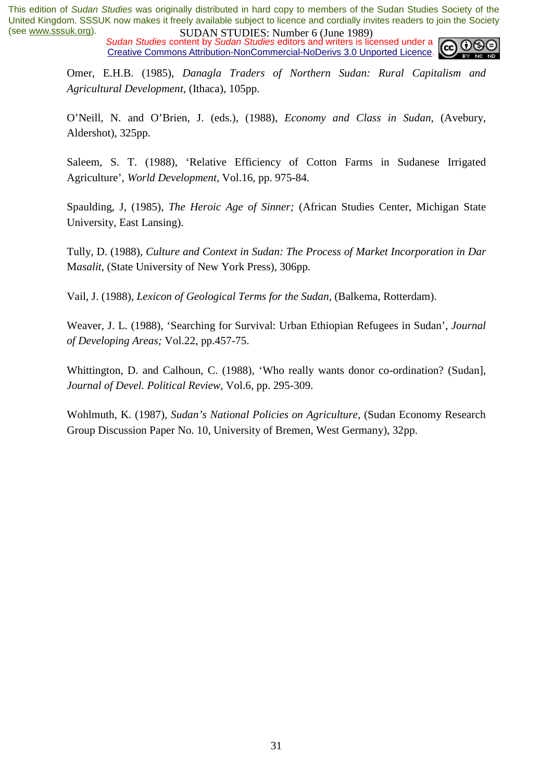*Sudan Studies* content by *Sudan Studies* editors and writers is licensed under a Creative Commons Attribution-NonCommercial-NoDerivs 3.0 Unported Licence.

Omer, E.H.B. (1985), *Danagla Traders of Northern Sudan: Rural Capitalism and Agricultural Development,* (Ithaca), 105pp.

O'Neill, N. and O'Brien, J. (eds.), (1988), *Economy and Class in Sudan,* (Avebury, Aldershot), 325pp.

Saleem, S. T. (1988), 'Relative Efficiency of Cotton Farms in Sudanese Irrigated Agriculture', *World Development,* Vol.16, pp. 975-84.

Spaulding, J, (1985), *The Heroic Age of Sinner;* (African Studies Center, Michigan State University, East Lansing).

Tully, D. (1988), *Culture and Context in Sudan: The Process of Market Incorporation in Dar* M*asalit,* (State University of New York Press), 306pp.

Vail, J. (1988), *Lexicon of Geological Terms for the Sudan,* (Balkema, Rotterdam).

Weaver, J. L. (1988), 'Searching for Survival: Urban Ethiopian Refugees in Sudan', *Journal of Developing Areas;* Vol.22, pp.457-75.

Whittington, D. and Calhoun, C. (1988), 'Who really wants donor co-ordination? (Sudan], *Journal of Devel. Political Review,* Vol.6, pp. 295-309.

Wohlmuth, K. (1987), *Sudan's National Policies on Agriculture,* (Sudan Economy Research Group Discussion Paper No. 10, University of Bremen, West Germany), 32pp.